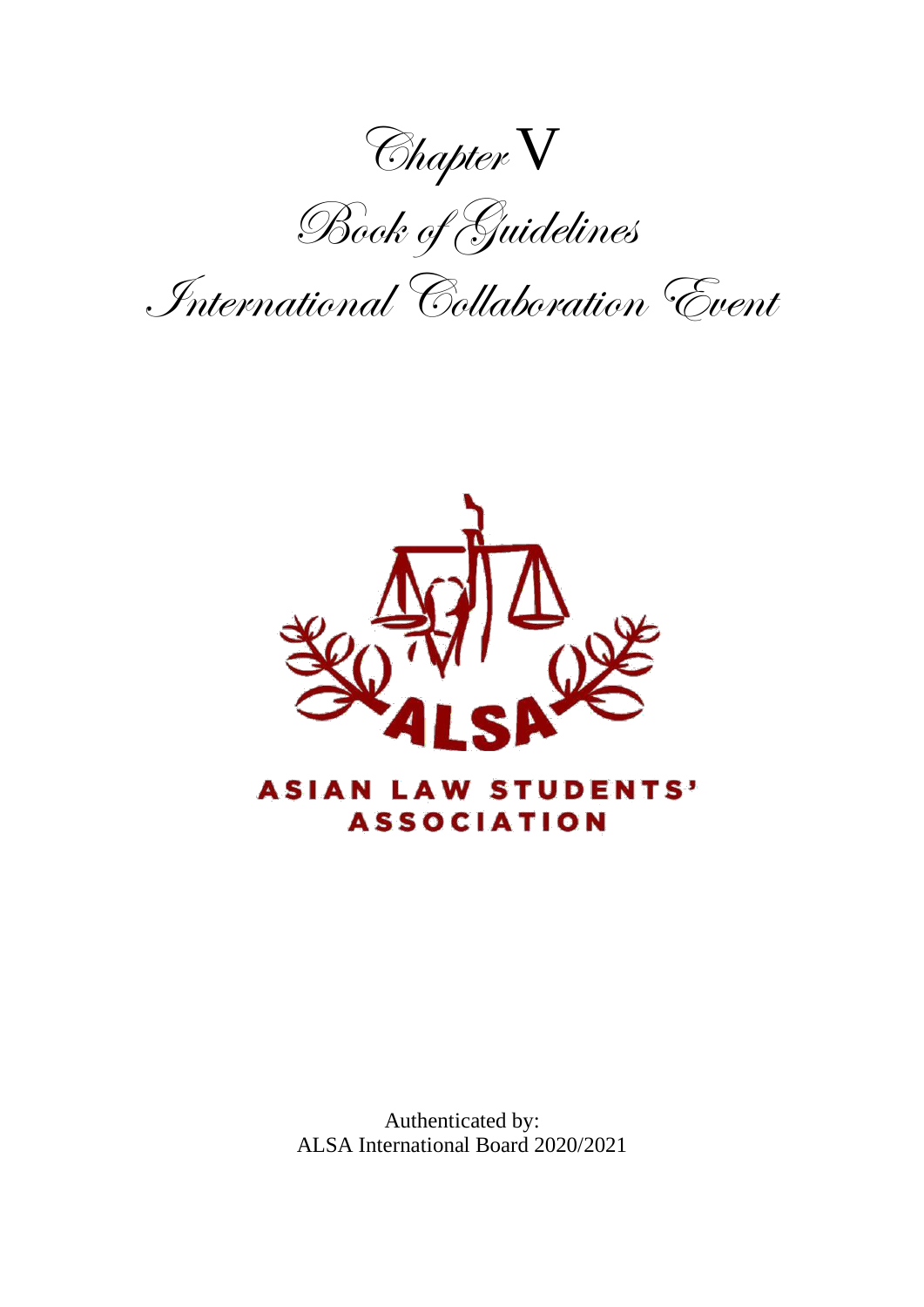Chapter V

Book of Guidelines

International Collaboration Event



Authenticated by: ALSA International Board 2020/2021